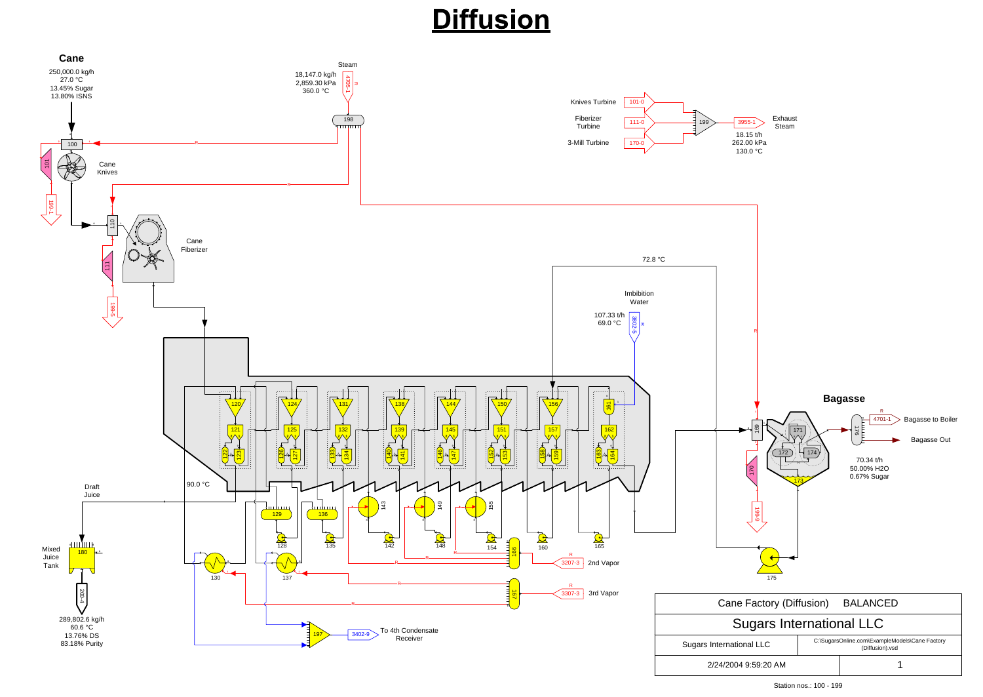### **Diffusion**



Station nos.: 100 - 199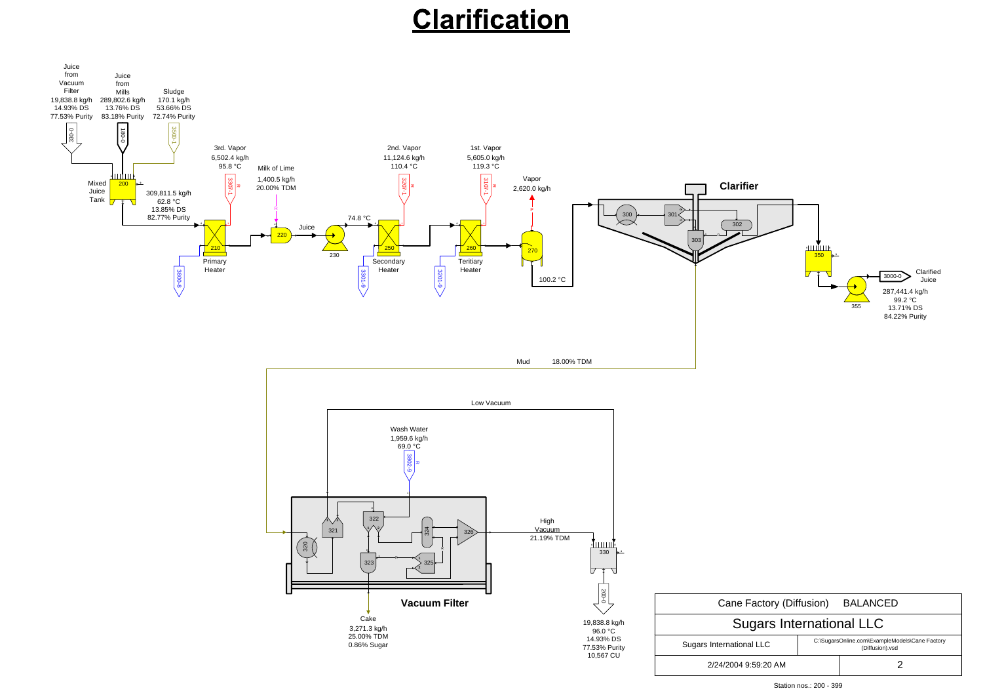# Clarification



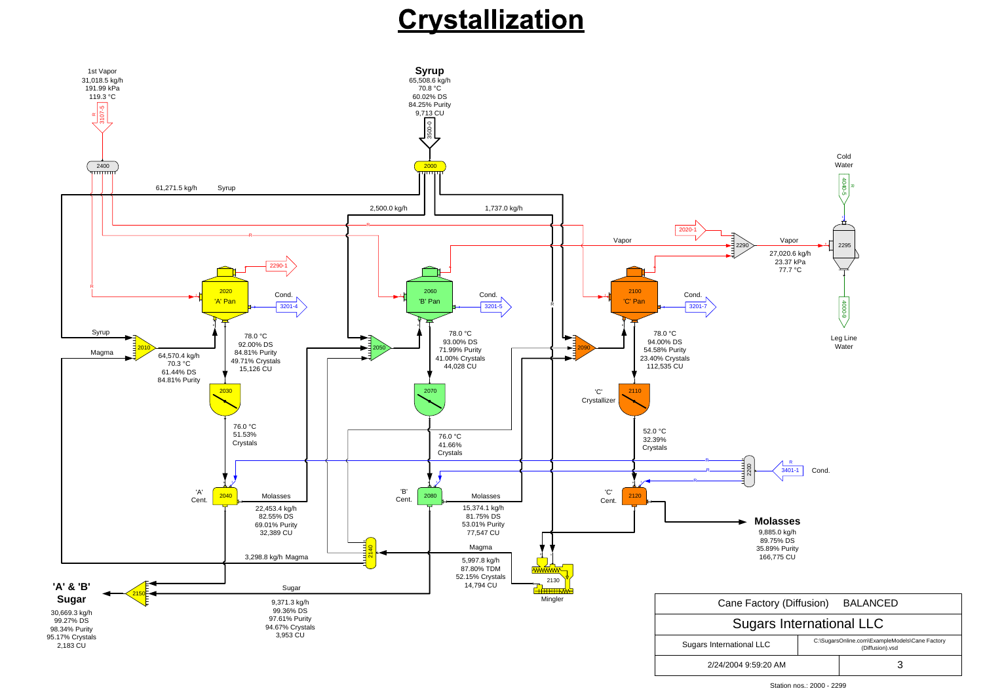### Crystallization



Station nos.: 2000 - 2299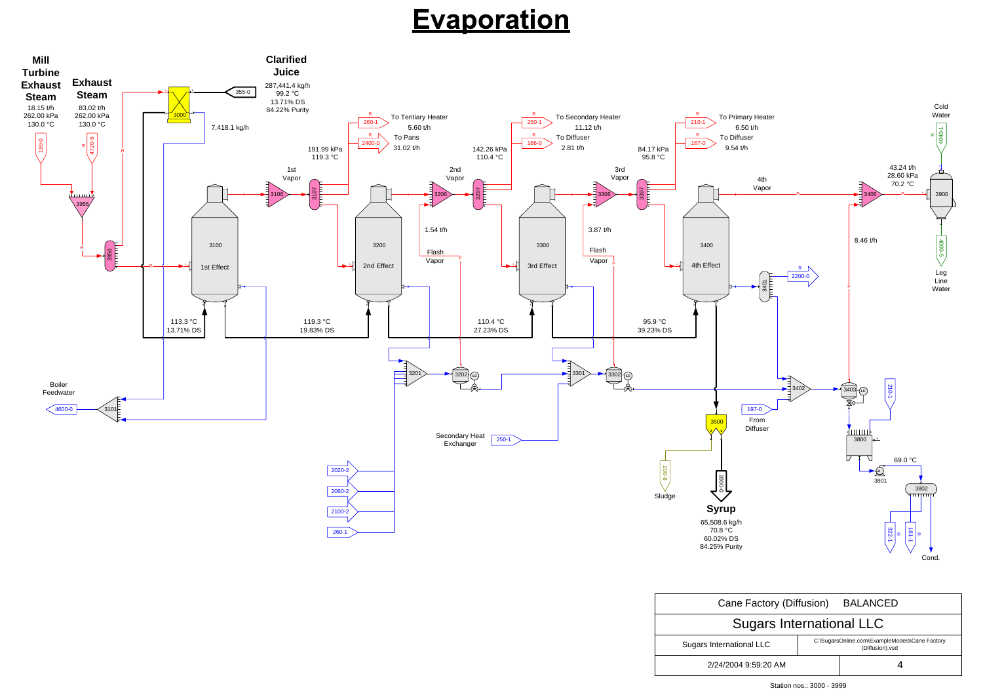| Cane Factory (Diffusion) BALANCED |                                                                   |  |  |
|-----------------------------------|-------------------------------------------------------------------|--|--|
| <b>Sugars International LLC</b>   |                                                                   |  |  |
| <b>Sugars International LLC</b>   | C:\SugarsOnline.com\ExampleModels\Cane Factory<br>(Diffusion).vsd |  |  |
| 2/24/2004 9:59:20 AM              |                                                                   |  |  |

# **Evaporation**



Station nos.: 3000 - 3999